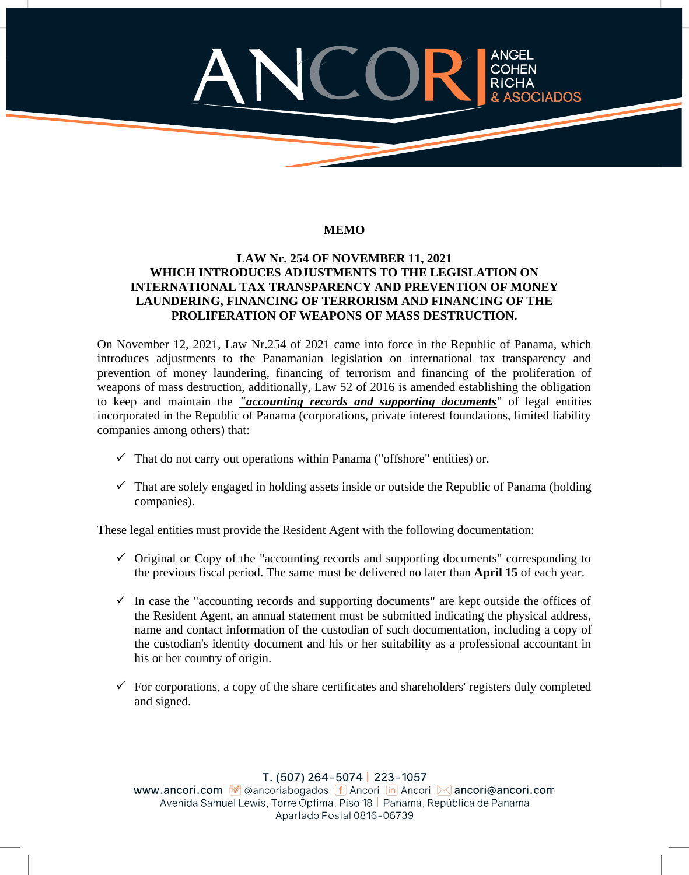## COHEN RICHA **SOCIADOS**

## **MEMO**

## **LAW Nr. 254 OF NOVEMBER 11, 2021 WHICH INTRODUCES ADJUSTMENTS TO THE LEGISLATION ON INTERNATIONAL TAX TRANSPARENCY AND PREVENTION OF MONEY LAUNDERING, FINANCING OF TERRORISM AND FINANCING OF THE PROLIFERATION OF WEAPONS OF MASS DESTRUCTION.**

On November 12, 2021, Law Nr.254 of 2021 came into force in the Republic of Panama, which introduces adjustments to the Panamanian legislation on international tax transparency and prevention of money laundering, financing of terrorism and financing of the proliferation of weapons of mass destruction, additionally, Law 52 of 2016 is amended establishing the obligation to keep and maintain the *"accounting records and supporting documents*" of legal entities incorporated in the Republic of Panama (corporations, private interest foundations, limited liability companies among others) that:

- $\checkmark$  That do not carry out operations within Panama ("offshore" entities) or.
- $\checkmark$  That are solely engaged in holding assets inside or outside the Republic of Panama (holding companies).

These legal entities must provide the Resident Agent with the following documentation:

- $\checkmark$  Original or Copy of the "accounting records and supporting documents" corresponding to the previous fiscal period. The same must be delivered no later than **April 15** of each year.
- $\checkmark$  In case the "accounting records and supporting documents" are kept outside the offices of the Resident Agent, an annual statement must be submitted indicating the physical address, name and contact information of the custodian of such documentation, including a copy of the custodian's identity document and his or her suitability as a professional accountant in his or her country of origin.
- $\checkmark$  For corporations, a copy of the share certificates and shareholders' registers duly completed and signed.

T. (507) 264-5074 | 223-1057 www.ancori.com  $\bigcirc$  eancoriabogados  $\bigcirc$  Ancori  $\bigcirc$  Ancori  $\otimes$  ancorie ancori.com Avenida Samuel Lewis, Torre Óptima, Piso 18 | Panamá, República de Panamá Apartado Postal 0816-06739